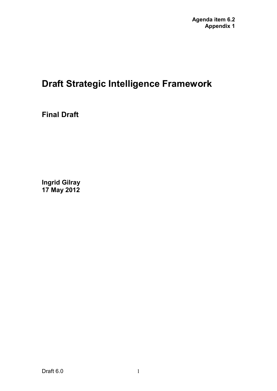### **Draft Strategic Intelligence Framework**

**Final Draft** 

**Ingrid Gilray 17 May 2012**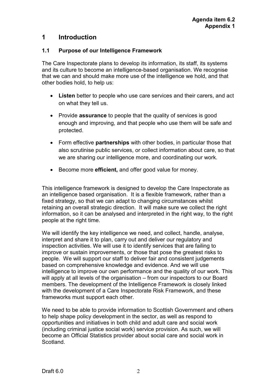#### **1 Introduction**

#### **1.1 Purpose of our Intelligence Framework**

The Care Inspectorate plans to develop its information, its staff, its systems and its culture to become an intelligence-based organisation. We recognise that we can and should make more use of the intelligence we hold, and that other bodies hold, to help us:

- **Listen** better to people who use care services and their carers, and act on what they tell us.
- Provide **assurance** to people that the quality of services is good enough and improving, and that people who use them will be safe and protected.
- Form effective **partnerships** with other bodies, in particular those that also scrutinise public services, or collect information about care, so that we are sharing our intelligence more, and coordinating our work.
- Become more **efficient,** and offer good value for money.

This intelligence framework is designed to develop the Care Inspectorate as an intelligence based organisation. It is a flexible framework, rather than a fixed strategy, so that we can adapt to changing circumstances whilst retaining an overall strategic direction. It will make sure we collect the right information, so it can be analysed and interpreted in the right way, to the right people at the right time.

We will identify the key intelligence we need, and collect, handle, analyse, interpret and share it to plan, carry out and deliver our regulatory and inspection activities. We will use it to identify services that are failing to improve or sustain improvements, or those that pose the greatest risks to people. We will support our staff to deliver fair and consistent judgements based on comprehensive knowledge and evidence. And we will use intelligence to improve our own performance and the quality of our work. This will apply at all levels of the organisation – from our inspectors to our Board members. The development of the Intelligence Framework is closely linked with the development of a Care Inspectorate Risk Framework, and these frameworks must support each other.

We need to be able to provide information to Scottish Government and others to help shape policy development in the sector, as well as respond to opportunities and initiatives in both child and adult care and social work (including criminal justice social work) service provision. As such, we will become an Official Statistics provider about social care and social work in **Scotland**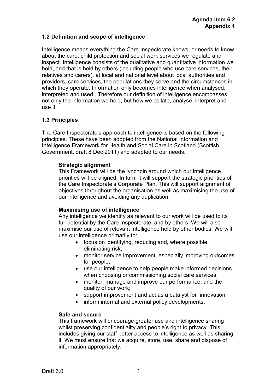#### **1.2 Definition and scope of intelligence**

Intelligence means everything the Care Inspectorate knows, or needs to know about the care, child protection and social work services we regulate and inspect. Intelligence consists of the qualitative and quantitative information we hold, and that is held by others (including people who use care services, their relatives and carers), at local and national level about local authorities and providers, care services, the populations they serve and the circumstances in which they operate. Information only becomes intelligence when analysed, interpreted and used. Therefore our definition of intelligence encompasses, not only the information we hold, but how we collate, analyse, interpret and use it.

#### **1.3 Principles**

The Care Inspectorate's approach to intelligence is based on the following principles. These have been adopted from the National Information and Intelligence Framework for Health and Social Care in Scotland (Scottish Government, draft 8 Dec 2011) and adapted to our needs.

#### **Strategic alignment**

This Framework will be the lynchpin around which our intelligence priorities will be aligned. In turn, it will support the strategic priorities of the Care Inspectorate's Corporate Plan. This will support alignment of objectives throughout the organisation as well as maximising the use of our intelligence and avoiding any duplication.

#### **Maximising use of intelligence**

Any intelligence we identify as relevant to our work will be used to its full potential by the Care Inspectorate, and by others. We will also maximise our use of relevant intelligence held by other bodies. We will use our intelligence primarily to:

- focus on identifying, reducing and, where possible, eliminating risk;
- monitor service improvement, especially improving outcomes for people;
- use our intelligence to help people make informed decisions when choosing or commissioning social care services;
- monitor, manage and improve our performance, and the quality of our work;
- support improvement and act as a catalyst for innovation;
- inform internal and external policy developments.

#### **Safe and secure**

This framework will encourage greater use and intelligence sharing whilst preserving confidentiality and people's right to privacy. This includes giving our staff better access to intelligence as well as sharing it. We must ensure that we acquire, store, use, share and dispose of information appropriately.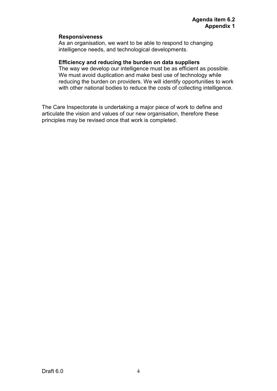#### **Responsiveness**

As an organisation, we want to be able to respond to changing intelligence needs, and technological developments.

#### **Efficiency and reducing the burden on data suppliers**

The way we develop our intelligence must be as efficient as possible. We must avoid duplication and make best use of technology while reducing the burden on providers. We will identify opportunities to work with other national bodies to reduce the costs of collecting intelligence.

The Care Inspectorate is undertaking a major piece of work to define and articulate the vision and values of our new organisation, therefore these principles may be revised once that work is completed.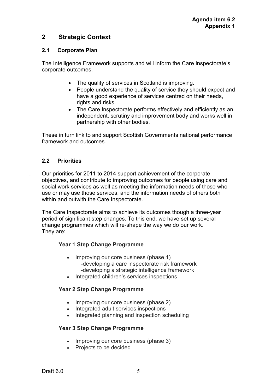#### **2 Strategic Context**

#### **2.1 Corporate Plan**

The Intelligence Framework supports and will inform the Care Inspectorate's corporate outcomes.

- The quality of services in Scotland is improving.
- People understand the quality of service they should expect and have a good experience of services centred on their needs. rights and risks.
- The Care Inspectorate performs effectively and efficiently as an independent, scrutiny and improvement body and works well in partnership with other bodies.

These in turn link to and support Scottish Governments national performance framework and outcomes.

#### **2.2 Priorities**

. Our priorities for 2011 to 2014 support achievement of the corporate objectives, and contribute to improving outcomes for people using care and social work services as well as meeting the information needs of those who use or may use those services, and the information needs of others both within and outwith the Care Inspectorate.

The Care Inspectorate aims to achieve its outcomes though a three-year period of significant step changes. To this end, we have set up several change programmes which will re-shape the way we do our work. They are:

#### **Year 1 Step Change Programme**

- Improving our core business (phase 1) -developing a care inspectorate risk framework -developing a strategic intelligence framework
- Integrated children's services inspections

#### **Year 2 Step Change Programme**

- Improving our core business (phase 2)
- Integrated adult services inspections
- Integrated planning and inspection scheduling

#### **Year 3 Step Change Programme**

- Improving our core business (phase 3)
- Projects to be decided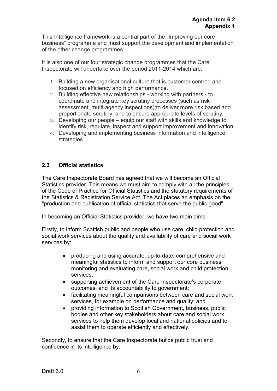This Intelligence framework is a central part of the "Improving our core business" programme and must support the development and implementation of the other change programmes.

It is also one of our four strategic change programmes that the Care Inspectorate will undertake over the period 2011-2014 which are:

- 1. Building a new organisational culture that is customer centred and focused on efficiency and high performance.
- 2. Building effective new relationships working with partners to coordinate and integrate key scrutiny processes (such as risk assessment, multi-agency inspections);to deliver more risk based and proportionate scrutiny; and to ensure appropriate levels of scrutiny.
- 3. Developing our people equip our staff with skills and knowledge to identify risk, regulate, inspect and support improvement and innovation.
- 4. Developing and implementing business information and intelligence strategies.

#### **2.3 Official statistics**

The Care Inspectorate Board has agreed that we will become an Official Statistics provider. This means we must aim to comply with all the principles of the Code of Practice for Official Statistics and the statutory requirements of the Statistics & Registration Service Act. The Act places an emphasis on the "production and publication of official statistics that serve the public good".

In becoming an Official Statistics provider, we have two main aims.

Firstly, to inform Scottish public and people who use care, child protection and social work services about the quality and availability of care and social work services by:

- producing and using accurate, up-to-date, comprehensive and meaningful statistics to inform and support our core business monitoring and evaluating care, social work and child protection services;
- supporting achievement of the Care Inspectorate's corporate outcomes, and its accountability to government;
- facilitating meaningful comparisons between care and social work services, for example on performance and quality; and
- providing information to Scottish Government, business, public bodies and other key stakeholders about care and social work services to help them develop local and national policies and to assist them to operate efficiently and effectively.

Secondly, to ensure that the Care Inspectorate builds public trust and confidence in its intelligence by: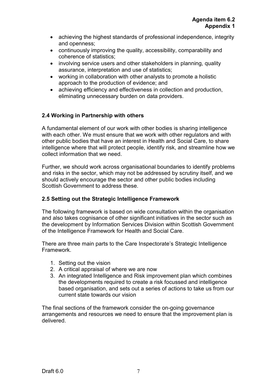- achieving the highest standards of professional independence, integrity and openness;
- continuously improving the quality, accessibility, comparability and coherence of statistics;
- involving service users and other stakeholders in planning, quality assurance, interpretation and use of statistics;
- working in collaboration with other analysts to promote a holistic approach to the production of evidence; and
- achieving efficiency and effectiveness in collection and production, eliminating unnecessary burden on data providers.

#### **2.4 Working in Partnership with others**

A fundamental element of our work with other bodies is sharing intelligence with each other. We must ensure that we work with other regulators and with other public bodies that have an interest in Health and Social Care, to share intelligence where that will protect people, identify risk, and streamline how we collect information that we need.

Further, we should work across organisational boundaries to identify problems and risks in the sector, which may not be addressed by scrutiny itself, and we should actively encourage the sector and other public bodies including Scottish Government to address these.

#### **2.5 Setting out the Strategic Intelligence Framework**

The following framework is based on wide consultation within the organisation and also takes cognisance of other significant initiatives in the sector such as the development by Information Services Division within Scottish Government of the Intelligence Framework for Health and Social Care.

There are three main parts to the Care Inspectorate's Strategic Intelligence Framework.

- 1. Setting out the vision
- 2. A critical appraisal of where we are now
- 3. An integrated Intelligence and Risk improvement plan which combines the developments required to create a risk focussed and intelligence based organisation, and sets out a series of actions to take us from our current state towards our vision

The final sections of the framework consider the on-going governance arrangements and resources we need to ensure that the improvement plan is delivered.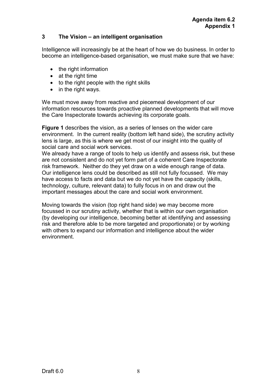#### **3 The Vision – an intelligent organisation**

Intelligence will increasingly be at the heart of how we do business. In order to become an intelligence-based organisation, we must make sure that we have:

- the right information
- at the right time
- to the right people with the right skills
- in the right ways.

We must move away from reactive and piecemeal development of our information resources towards proactive planned developments that will move the Care Inspectorate towards achieving its corporate goals.

**Figure 1** describes the vision, as a series of lenses on the wider care environment. In the current reality (bottom left hand side), the scrutiny activity lens is large, as this is where we get most of our insight into the quality of social care and social work services.

We already have a range of tools to help us identify and assess risk, but these are not consistent and do not yet form part of a coherent Care Inspectorate risk framework. Neither do they yet draw on a wide enough range of data. Our intelligence lens could be described as still not fully focussed. We may have access to facts and data but we do not yet have the capacity (skills, technology, culture, relevant data) to fully focus in on and draw out the important messages about the care and social work environment.

Moving towards the vision (top right hand side) we may become more focussed in our scrutiny activity, whether that is within our own organisation (by developing our intelligence, becoming better at identifying and assessing risk and therefore able to be more targeted and proportionate) or by working with others to expand our information and intelligence about the wider environment.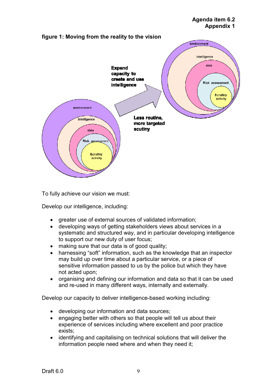#### **Agenda item 6.2 Appendix 1**



To fully achieve our vision we must:

Develop our intelligence, including:

- greater use of external sources of validated information;
- developing ways of getting stakeholders views about services in a systematic and structured way, and in particular developing intelligence to support our new duty of user focus;
- making sure that our data is of good quality;
- harnessing "soft" information, such as the knowledge that an inspector may build up over time about a particular service, or a piece of sensitive information passed to us by the police but which they have not acted upon;
- organising and defining our information and data so that it can be used and re-used in many different ways, internally and externally.

Develop our capacity to deliver intelligence-based working including:

- developing our information and data sources;
- engaging better with others so that people will tell us about their experience of services including where excellent and poor practice exists;
- identifying and capitalising on technical solutions that will deliver the information people need where and when they need it;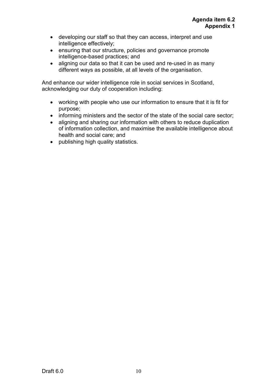- developing our staff so that they can access, interpret and use intelligence effectively;
- ensuring that our structure, policies and governance promote intelligence-based practices; and
- aligning our data so that it can be used and re-used in as many different ways as possible, at all levels of the organisation.

And enhance our wider intelligence role in social services in Scotland, acknowledging our duty of cooperation including:

- working with people who use our information to ensure that it is fit for purpose;
- informing ministers and the sector of the state of the social care sector;
- aligning and sharing our information with others to reduce duplication of information collection, and maximise the available intelligence about health and social care; and
- publishing high quality statistics.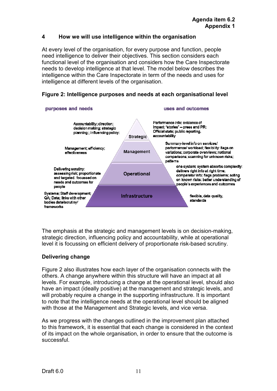#### **4 How we will use intelligence within the organisation**

At every level of the organisation, for every purpose and function, people need intelligence to deliver their objectives. This section considers each functional level of the organisation and considers how the Care Inspectorate needs to develop intelligence at that level. The model below describes the intelligence within the Care Inspectorate in term of the needs and uses for intelligence at different levels of the organisation.

#### **Figure 2: Intelligence purposes and needs at each organisational level**



The emphasis at the strategic and management levels is on decision-making, strategic direction, influencing policy and accountability, while at operational level it is focussing on efficient delivery of proportionate risk-based scrutiny.

#### **Delivering change**

Figure 2 also illustrates how each layer of the organisation connects with the others. A change anywhere within this structure will have an impact at all levels. For example, introducing a change at the operational level, should also have an impact (ideally positive) at the management and strategic levels, and will probably require a change in the supporting infrastructure. It is important to note that the intelligence needs at the operational level should be aligned with those at the Management and Strategic levels, and vice versa.

As we progress with the changes outlined in the improvement plan attached to this framework, it is essential that each change is considered in the context of its impact on the whole organisation, in order to ensure that the outcome is successful.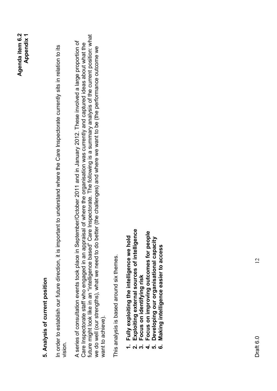# **5. Analysis of current position**  5. Analysis of current position

In order to establish our future direction, it is important to understand where the Care Inspectorate currently sits in relation to its In order to establish our future direction, it is important to understand where the Care Inspectorate currently sits in relation to its vision.

future might look like in an "intelligence based" Care Inspectorate. The following is a summary analysis of the current position: what future might look like in an "intelligence based" Care Inspectorate. The following is a summary analysis of the current position: what A series of consultation events took place in September/October 2011 and in January 2012. These involved a large proportion of A series of consultation events took place in September/October 2011 and in January 2012. These involved a large proportion of Care Inspectorate staff who engaged in an appraisal of where the organisation was currently and captured ideas about what the Care Inspectorate staff who engaged in an appraisal of where the organisation was currently and captured ideas about what the we do well (our strengths), what we need to do better (the challenges) and where we want to be (the performance outcome we we do well (our strengths), what we need to do better (the challenges) and where we want to be (the performance outcome we want to achieve). want to achieve).

This analysis is based around six themes. This analysis is based around six themes.

- **1. Fully exploiting the intelligence we hold**  Fully exploiting the intelligence we hold
- **2. Exploiting external sources of intelligence**  Exploiting external sources of intelligence
	- Focus on identifying risk **3. Focus on identifying risk**
- Focus on improving outcomes for people **4. Focus on improving outcomes for people** 
	- **5. Developing our organisational capacity**  Developing our organisational capacity
- **6. Making intelligence easier to access** Making intelligence easier to access **- ស់ ស់ 4 ស់ 6**

 $\overline{2}$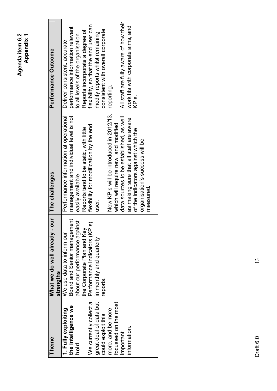| Theme                  | bur<br>What we do well already -<br>strengths | The challenges                          | Performance Outcome                    |
|------------------------|-----------------------------------------------|-----------------------------------------|----------------------------------------|
| 1. Fully exploiting    | We use data to inform our                     | Performance information at operational  | Deliver consistent, accurate           |
| the intelligence we    | Board and Senior management                   | management and individual level is not  | performance information relevant       |
| hold                   | about our performance against                 | easily available.                       | to all levels of the organisation.     |
|                        | the Corporate Plan and Key                    | Reports tend to be static, with little  | Reports incorporate a degree of        |
| We currently collect a | Performance Indicators (KPIs)                 | flexibility for modification by the end | flexibility, so that the end user can  |
| great deal of data but | in monthly and quarterly                      | user.                                   | modify reports whilst remaining        |
| could exploit this     | reports.                                      |                                         | consistent with overall corporate      |
| more, and be more      |                                               | New KPIs will be introduced in 2012/13, | reporting.                             |
| focussed on the most   |                                               | which will require new, and modified    |                                        |
| important              |                                               | data sources to be established, as well | All staff are fully aware of how their |
| information.           |                                               | as making sure that all staff are aware | work fits with corporate aims, and     |
|                        |                                               | of the indicators against which the     | KPI <sub>S.</sub>                      |
|                        |                                               | organisation's success will be          |                                        |
|                        |                                               | measured.                               |                                        |

 $13$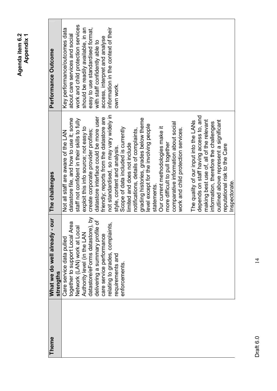| <b>Theme</b> | our<br>What we do well already -<br>strengths              | The challenges                               | Performance Outcome                 |
|--------------|------------------------------------------------------------|----------------------------------------------|-------------------------------------|
|              | Care service data pulled                                   | Not all staff are aware of the LAN           | Key performance/outcomes data       |
|              | together to support Local Area                             | datastore file, and how to use it; some      | about care services and social      |
|              | Network (LAN) work at Local<br>Authority level (in the LAN | staff not confident in their skills to fully | work and child protection services  |
|              |                                                            | exploit this info source; not easy to        | should be readily available, in an  |
|              | datastore/eForms datastore), by                            | create corporate provider profiles;          | easy to use standardised format,    |
|              | ৳<br>delivering a summary profile                          | datastore interface could be more user       | with staff confidently able to      |
|              | care service performance                                   | friendly; reports from the datastore are     | access, interpret and analyse       |
|              | Ξ<br>relating to grades, complaint                         | not standardised, so may vary widely in      | information in the context of their |
|              | requirements and                                           | style, content and analysis.                 | own work.                           |
|              | enforcements                                               | Scope of data included is currently          |                                     |
|              |                                                            | limited and does not include                 |                                     |
|              |                                                            | notifications, details of complaints,        |                                     |
|              |                                                            | grading histories, grades below theme        |                                     |
|              |                                                            | level except for the involving people        |                                     |
|              |                                                            | statements                                   |                                     |
|              |                                                            | Our current methodologies make it            |                                     |
|              |                                                            | more difficult to pull together              |                                     |
|              |                                                            | comparative information about social         |                                     |
|              |                                                            | work and child protection services.          |                                     |
|              |                                                            | The quality of our input into the LANs       |                                     |
|              |                                                            | depends on staff having access to, and       |                                     |
|              |                                                            | making best use of, all of the relevant      |                                     |
|              |                                                            | information, therefore the challenges        |                                     |
|              |                                                            | outlined above represent a significant       |                                     |
|              |                                                            | reputational risk to the Care                |                                     |
|              |                                                            | Inspectorate.                                |                                     |

> Draft  $6.0$ Draft 6.0

 $\frac{1}{4}$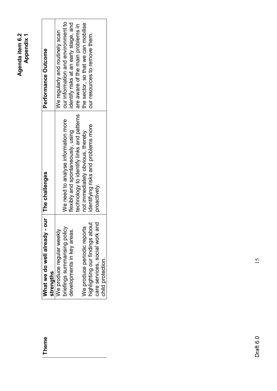| ς<br>c<br>⊱<br><u>დ</u><br>ъ<br>q | ۰,<br>₫ |
|-----------------------------------|---------|
| ă                                 |         |

| <b>Theme</b> | What we do well already -       | our   The challenges                      | Performance Outcome                   |
|--------------|---------------------------------|-------------------------------------------|---------------------------------------|
|              | strengths                       |                                           |                                       |
|              | We produce regular weekly       |                                           | We regularly and routinely scan       |
|              | priefings summarising policy    | We need to analyse information more       | our information and environment to    |
|              | developments in key areas.      | lexibly and spontaneously, using          | identify risks at an early stage, and |
|              |                                 | technology to identify links and patterns | are aware of the main problems in     |
|              | We produce periodic reports     | not immediately obvious, thereby          | the sector, so that we can mobilise   |
|              | highlighting our findings about | dentifying risks and problems more        | our resources to remove them.         |
|              | care services, social work and  | proactively.                              |                                       |
|              | child protection.               |                                           |                                       |

## Theme

 $15$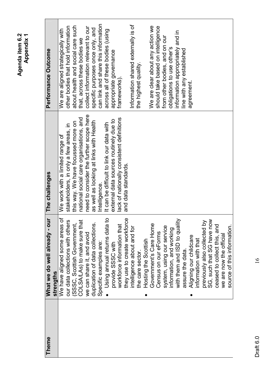| <b>Theme</b> | What we do well already -        | our The challenges                        | Performance Outcome                 |
|--------------|----------------------------------|-------------------------------------------|-------------------------------------|
|              | strengths                        |                                           |                                     |
|              | We have aligned some areas of    | We work with a limited range of           | We are aligned strategically with   |
|              | our data collections with others | stakeholders, in only a few areas, in     | other bodies that hold information  |
|              | (SSSC, Scottish Government,      | this way. We have focussed more on        | about health and social care such   |
|              | COLSA/LAs) to make sure that     | national social care organisations, and   | that, across these bodies we        |
|              | we can share it, and avoid       | need to consider the further scope here   | collect information relevant to our |
|              | duplication of data collections. | as well as looking at links with Health   | specific purposes once only, and    |
|              | Specific examples are:           | Intelligence.                             | can link and share this information |
|              | Using annual returns data to     | It can be difficult to link our data with | across all of these bodies (using   |
|              | provide SSSC with                | external data sources routinely due to    | appropriate governance              |
|              | workforce information that       | lack of nationally consistent definitions | frameworks).                        |
|              | they use to create workforce     | and data standards.                       |                                     |
|              | intelligence about and for       |                                           | Information shared externally is of |
|              | the care sector.                 |                                           | the highest quality.                |
|              | Hosting the Scottish<br>0        |                                           |                                     |
|              | Government's Care Home           |                                           | We are clear about any action we    |
|              | Census on our eForms             |                                           | should take based on intelligence   |
|              | system, using our service        |                                           | from other bodies, and on our       |
|              | information, and working         |                                           | obligations to use other's          |
|              | with them and ISD to quality     |                                           | information appropriately and in    |
|              | assure the data.                 |                                           | line with any established           |
|              | Aligning our childcare           |                                           | agreement.                          |
|              | information with that            |                                           |                                     |
|              | previously also collected by     |                                           |                                     |
|              | now<br>SG, such that SG have     |                                           |                                     |
|              | ceased to collect this, and      |                                           |                                     |
|              | we are now the official          |                                           |                                     |
|              | source of this information.      |                                           |                                     |

 $\frac{1}{6}$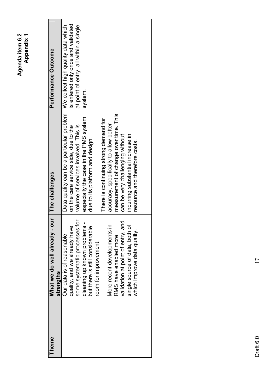| <b>Theme</b> | What we do well already -<br>strengths                                                                                                                                                                                                                                                                                                               | our The challenges                                                                                                                                                                                                                                                                                                                                                                                                                                                             | Performance Outcome                                                                     |
|--------------|------------------------------------------------------------------------------------------------------------------------------------------------------------------------------------------------------------------------------------------------------------------------------------------------------------------------------------------------------|--------------------------------------------------------------------------------------------------------------------------------------------------------------------------------------------------------------------------------------------------------------------------------------------------------------------------------------------------------------------------------------------------------------------------------------------------------------------------------|-----------------------------------------------------------------------------------------|
|              | some systematic processes for<br>validation at point of entry, and<br>cleaning up known problems -<br>single source of data, both of<br>quality, and we already have<br>but there is still considerable<br>More recent developments in<br>which improve data quality.<br>Our data is of reasonable<br>RMS have enabled more<br>room for improvement. | Data quality can be a particular problem   We collect high quality data which<br>measurement of change over time. This<br>especially the case in the PMS system<br>There is continuing strong demand for<br>accuracy, specifically to allow better<br>volume of services involved. This is<br>on the care service side, due to the<br>can be very challenging without<br>incurring substantial increase in<br>due to its platform and design.<br>resource and therefore costs. | is entered only once and validated<br>at point of entry, all within a single<br>system. |
|              |                                                                                                                                                                                                                                                                                                                                                      |                                                                                                                                                                                                                                                                                                                                                                                                                                                                                |                                                                                         |

 $\overline{17}$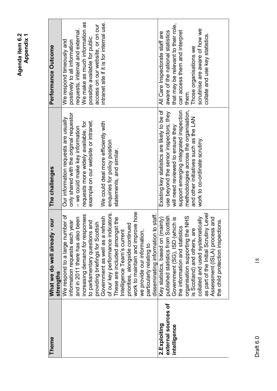| <b>Theme</b>        | bur<br>What we do well already -<br>strengths | The challenges                              | Performance Outcome                      |
|---------------------|-----------------------------------------------|---------------------------------------------|------------------------------------------|
|                     | We respond to a large number of               | Our information requests are usually        | We respond timeously and                 |
|                     | information requests each year                | only shared with the original requestor     | positively to all information            |
|                     | and in 2011 there has also been               | - we could make key information             | requests, internal and external          |
|                     | increasing demand for responses               | requests more widely available, for         | We make as much information as           |
|                     | to parliamentary questions and                | example on our website or intranet.         | possible available for public            |
|                     | providing briefings for Scottish              |                                             | access on our website, or on our         |
|                     | Government as well as a refresh               | We could deal more efficiently with         | intranet site if it is for internal use. |
|                     | of our key performance indicators.            | enquiries for policy position               |                                          |
|                     | These are included amongst the                | statements, and similar.                    |                                          |
|                     | Intelligence Team's current                   |                                             |                                          |
|                     | priorities, alongside continued               |                                             |                                          |
|                     | work to maintain and improve how              |                                             |                                          |
|                     | we provide our information,                   |                                             |                                          |
|                     | particularly relating to                      |                                             |                                          |
|                     | staff.<br>disseminating information to        |                                             |                                          |
| 2.Exploiting        | Key statistics, based on (mainly)             | Existing key statistics are likely to be of | All Care Inspectorate staff are          |
| external sources of | published statistics from Scottish            | use beyond the senior inspectors; they      | aware of the national statistics         |
| intelligence        | Government (SG), ISD (which is                | will need reviewed to ensure they           | that may be relevant to their role,      |
|                     | the information and statistics                | support emerging integrated inspection      | can access them and interpret            |
|                     | <b>NHS</b><br>organisation supporting the     | methodologies across the organisation,      | them.                                    |
|                     | is Scotland) and others, are                  | and other initiatives such as the LAN       | Those organisations we                   |
|                     | collated and used systematically              | work to co-ordinate scrutiny.               | scrutinise are aware of how we           |
|                     | as part of the Initial Scrutiny Level         |                                             | collate and use key statistics.          |
|                     | and<br>Assessment (ISLA) process              |                                             |                                          |
|                     | the child protection inspections.             |                                             |                                          |

> Draft  $6.0$  18 Draft 6.0

 $18$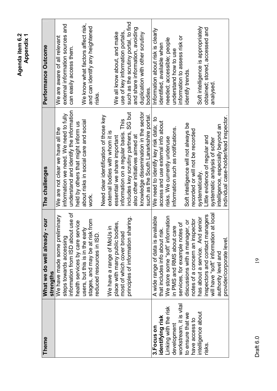| Theme                                                                         | What we do well already - our<br>strengths                                                                                                                           | The challenges                                                                                                                                                                                                                    | Performance Outcome                                                                                                                       |
|-------------------------------------------------------------------------------|----------------------------------------------------------------------------------------------------------------------------------------------------------------------|-----------------------------------------------------------------------------------------------------------------------------------------------------------------------------------------------------------------------------------|-------------------------------------------------------------------------------------------------------------------------------------------|
|                                                                               | information from ISD about use of<br>We have made some preliminary<br>steps towards accessing                                                                        | understand and identify the information<br>information we need. We need to fully<br>We are not clear we have all the                                                                                                              | external information sources and<br>We are aware of all relevant<br>can easily access them.                                               |
|                                                                               | stages, and may be at risk from<br>health services by care service<br>users, but this is in the early<br>reduced resources in ISD.                                   | about risks in social care and social<br>held by others that might inform us<br>work.                                                                                                                                             | We know what factors affect risk,<br>and can identify any heightened<br>risks.                                                            |
|                                                                               | principles of information sharing.<br>place with many public bodies,<br>We have a range of MoUs in<br>most of which cover broad                                      | SG but<br>Need clear identification of those key<br>information on a regular basis. This<br>includes key scrutiny partners,<br>external bodies with whom it is<br>also other initiatives aimed at<br>essential we share important | such as the scrutiny portal, to find<br>and share information, avoiding<br>use of key information portals,<br>We all know about, and make |
|                                                                               |                                                                                                                                                                      | knowledge dissemination in the sector<br>such as the South Lanarkshire portal.                                                                                                                                                    | duplication with other scrutiny<br>bodies                                                                                                 |
| Linking with the risk<br>identifying risk<br>3.Focus on                       | We store some "soft" information<br>A wide range of data is available<br>that includes info about risk.                                                              | We need to identify key risk data; to<br>access and use external info about<br>risks. We currently underuse                                                                                                                       | Information about risk is clearly<br>needed; accessible; people<br>identified, available when                                             |
| workstream, it is vital<br>to ensure that we<br>have access to<br>development | notes of a concern an inspector<br>discussions with a manager, or<br>services, for example notes of<br>in PMS and RMS about care                                     | Soft intelligence will not always be<br>information such as notifications.<br>recorded or will not be recorded                                                                                                                    | information to assess risk or<br>understand how to use<br>identify trends.                                                                |
| intelligence about<br>risks.                                                  | will have "soft" information at local<br>igers<br>has about a service. And senior<br>inspectors and contact mana<br>provider/corporate level.<br>authority level and | individual case-holder/lead inspector.<br>intelligence, especially beyond an<br>Little evidence of regular and<br>systematic analysis of softer<br>systematically                                                                 | Soft intelligence is appropriately<br>obtained; stored, accessed and<br>analysed                                                          |

Draft 6.0

 $\overline{19}$ Draft  $6.0$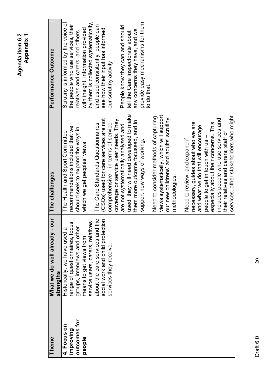| <b>Theme</b> | What we do well already - our<br>strengths | The challenges                           | Performance Outcome                  |
|--------------|--------------------------------------------|------------------------------------------|--------------------------------------|
| 4. Focus on  | Historically, we have used a               | The Health and Sport Committee           | Scrutiny is informed by the voice of |
| improving    | range of questionnaires, focus             | recommendations included that we         | the people who use services, their   |
| outcomes for | groups, interviews and other               | should seek to expand the ways in        | relatives and carers, and others     |
| people       | means to get views from                    | which we get peoples' views.             | with insight; information provided   |
|              | service users, carers, relatives           |                                          | by them is collected systematically, |
|              | e<br>P<br>about the care services and t    | The Care Standards Questionnaires        | and used consistently; people can    |
|              | social work and child protection           | (CSQs) used for care services are not    | see how their input has informed     |
|              | services they receive.                     | comprehensive - in terms of service      | our scrutiny activity                |
|              |                                            | coverage or service user needs. They     |                                      |
|              |                                            | are not systematically analysed and      | People know they can and should      |
|              |                                            | used; they will need developed to make   | tell the Care Inspectorate about     |
|              |                                            | them more outcome focussed, and to       | any concerns they have, and we       |
|              |                                            | support new ways of working.             | provide easy mechanisms for them     |
|              |                                            |                                          | to do that.                          |
|              |                                            | Need to consider methods of capturing    |                                      |
|              |                                            | views systematically, which will support |                                      |
|              |                                            | our new childrens' and adults' scrutiny  |                                      |
|              |                                            | methodologies.                           |                                      |
|              |                                            | Need to review, and expand if            |                                      |
|              |                                            | necessary, guides about who we are       |                                      |
|              |                                            | and what we do that will encourage       |                                      |
|              |                                            | people to get in touch with us -         |                                      |
|              |                                            | especially about their concerns. This    |                                      |
|              |                                            | includes people who use services and     |                                      |
|              |                                            | their relatives and carers; staff of     |                                      |
|              |                                            | services; other stakeholders who might   |                                      |

 $\overline{c}$ 

Draft  $6.0$ Draft 6.0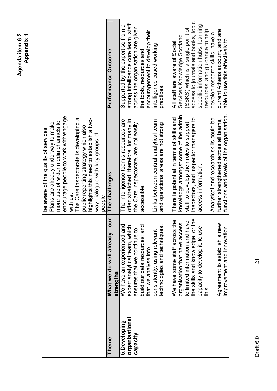|                |                                            | be aware of the quality of services       |                                      |
|----------------|--------------------------------------------|-------------------------------------------|--------------------------------------|
|                |                                            | Plans are already underway to make        |                                      |
|                |                                            | more use of wider media channels to       |                                      |
|                |                                            | encourage people to work with/engage      |                                      |
|                |                                            | with us.                                  |                                      |
|                |                                            | The Care Inspectorate is developing a     |                                      |
|                |                                            | public reporting strategy which also      |                                      |
|                |                                            | highlights this need to establish a two-  |                                      |
|                |                                            | way dialogue with key groups of           |                                      |
|                |                                            | people                                    |                                      |
| <b>Theme</b>   | our<br>What we do well already -           | The challenges                            | Performance Outcome                  |
|                | strengths                                  |                                           |                                      |
| 5.Developing   | We have an experienced and                 | The intelligence team's resources are     | Supported by the expertise from a    |
| organisational | $\subset$<br>expert analytical team, whicl | often stretched, therefore, for many in   | strong intelligence core team, staff |
| Capacity       | ensures that we continue to                | the Care Inspectorate, are not easily     | across the organisation are given    |
|                | build our data resources; and              | accessible.                               | the tools, resources and             |
|                | that we analyse info                       |                                           | encouragement to develop their       |
|                | consistently, using relevant               | Links between central analytical team     | intelligence based working           |
|                | technologies and techniques.               | and operational areas are not strong      | practices.                           |
|                |                                            |                                           |                                      |
|                | the<br>We have some staff across           | There is potential in terms of skills and | All staff are aware of Social        |
|                | organisation that have access              | knowledge amongst some of the admin       | Services Knowledge Scotland          |
|                | to limited information and have            | staff to develop their roles to support   | (SSKS) which is a single point of    |
|                | the skills and knowledge, or the           | inspectors, and inspector managers to     | access to journals and books, topic  |
|                | capacity to develop it, to use             | access information.                       | specific information hubs, learning  |
| itis<br>∰      |                                            |                                           | resources, and guidance to help      |
|                |                                            | Analytical and research skills could be   | develop research skills, have a      |
|                | Agreement to establish a new               | further strengthened across all teams,    | current Athens account, and are      |
|                | improvement and innovation                 | functions and levels of the organisation. | able to use this effectively to      |

Draft  $6.0$  21 Draft 6.0

 $\overline{21}$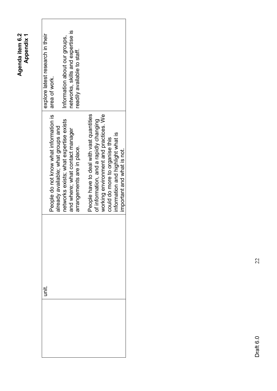| networks, skills and expertise is<br>explore latest research in their<br>Information about our groups,<br>readily available to staff.<br>area of work.                                  |                                                                                                                                                                                                                                  |
|-----------------------------------------------------------------------------------------------------------------------------------------------------------------------------------------|----------------------------------------------------------------------------------------------------------------------------------------------------------------------------------------------------------------------------------|
| People do not know what information is<br>networks exists; what expertise exists<br>already available; what groups and<br>and where; what contact manager<br>arrangements are in place. | People have to deal with vast quantities<br>working environment and practices. We<br>of information, and a rapidly changing<br>information and highlight what is<br>could do more to organise this<br>important and what is not. |
| Ϊ                                                                                                                                                                                       |                                                                                                                                                                                                                                  |

> Draft  $6.0$ Draft 6.0

 $22$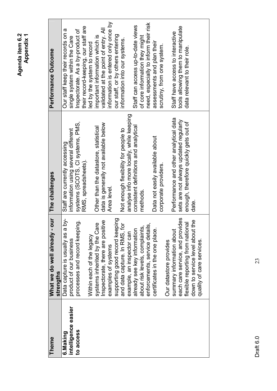| <b>Theme</b>        | our<br>What we do well already -                    | The challenges                           | Performance Outcome                   |
|---------------------|-----------------------------------------------------|------------------------------------------|---------------------------------------|
|                     | strengths                                           |                                          |                                       |
| 6.Making            | $\overline{\delta}$<br>Data capture is usually as a | Staff are currently accessing            | Our staff keep their records on a     |
| intelligence easier | product of our business                             | nformation using several different       | single system within the Care         |
| to access           | ġ<br>processes and record keepir                    | systems (SCOTS, CI systems, PMS,         | Inspectorate. As a by-product of      |
|                     |                                                     | RMS, spreadsheets).                      | their record-keeping, our staff are   |
|                     | Within each of the legacy                           |                                          | ed by the system to record            |
|                     | systems inherited by the Care                       | Other than the datastore, statistical    | important information which is        |
|                     | Inspectorate, there are positive                    | data is generally not available below    | validated at the point of entry. All  |
|                     | examples of systems                                 | Area level.                              | information is entered only once by   |
|                     | supporting good record keeping                      |                                          | our staff, or by others entering      |
|                     | and data capture. In RMS, for                       | Not enough flexibility for people to     | information into our systems.         |
|                     | example, an inspector can                           | analyse info more locally, while keeping |                                       |
|                     | already see key information                         | consistent definitions and analytical    | Staff can access up-to-date views     |
|                     | about risk levels, complaints,                      | methods                                  | of core information they might        |
|                     | <u>ທົ</u><br>enforcements, service detail           |                                          | need, especially to inform their risk |
|                     | certificates in the one place.                      | Data not easily available about          | assessments and plan their            |
|                     |                                                     | corporate providers.                     | scrutiny, from one system.            |
|                     | Our datastore provides                              |                                          |                                       |
|                     | summary information about                           | Performance and other analytical data    | Staff have access to interactive      |
|                     | ides<br>each care service, and provi                | sets are not always updated regularly    | tools allowing them to manipulate     |
|                     | flexible reporting from national                    | enough, therefore quickly gets out of    | data relevant to their role.          |
|                     | e4<br>down to service level about                   | date.                                    |                                       |
|                     | quality of care services.                           |                                          |                                       |
|                     |                                                     |                                          |                                       |

Draft  $6.0$  23 Draft 6.0

23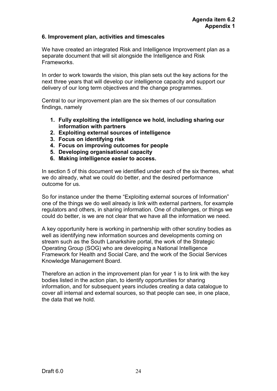#### **6. Improvement plan, activities and timescales**

We have created an integrated Risk and Intelligence Improvement plan as a separate document that will sit alongside the Intelligence and Risk Frameworks.

In order to work towards the vision, this plan sets out the key actions for the next three years that will develop our intelligence capacity and support our delivery of our long term objectives and the change programmes.

Central to our improvement plan are the six themes of our consultation findings, namely

- **1. Fully exploiting the intelligence we hold, including sharing our information with partners**
- **2. Exploiting external sources of intelligence**
- **3. Focus on identifying risk**
- **4. Focus on improving outcomes for people**
- **5. Developing organisational capacity**
- **6. Making intelligence easier to access.**

In section 5 of this document we identified under each of the six themes, what we do already, what we could do better, and the desired performance outcome for us.

So for instance under the theme "Exploiting external sources of Information" one of the things we do well already is link with external partners, for example regulators and others, in sharing information. One of challenges, or things we could do better, is we are not clear that we have all the information we need.

A key opportunity here is working in partnership with other scrutiny bodies as well as identifying new information sources and developments coming on stream such as the South Lanarkshire portal, the work of the Strategic Operating Group (SOG) who are developing a National Intelligence Framework for Health and Social Care, and the work of the Social Services Knowledge Management Board.

Therefore an action in the improvement plan for year 1 is to link with the key bodies listed in the action plan, to identify opportunities for sharing information, and for subsequent years includes creating a data catalogue to cover all internal and external sources, so that people can see, in one place, the data that we hold.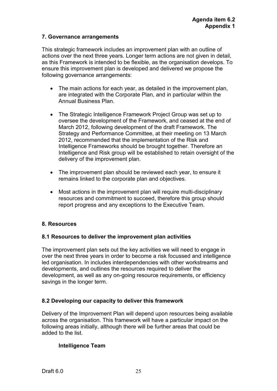#### **7. Governance arrangements**

This strategic framework includes an improvement plan with an outline of actions over the next three years. Longer term actions are not given in detail, as this Framework is intended to be flexible, as the organisation develops. To ensure this improvement plan is developed and delivered we propose the following governance arrangements:

- The main actions for each year, as detailed in the improvement plan, are integrated with the Corporate Plan, and in particular within the Annual Business Plan.
- The Strategic Intelligence Framework Project Group was set up to oversee the development of the Framework, and ceased at the end of March 2012, following development of the draft Framework. The Strategy and Performance Committee, at their meeting on 13 March 2012, recommended that the implementation of the Risk and Intelligence Frameworks should be brought together. Therefore an Intelligence and Risk group will be established to retain oversight of the delivery of the improvement plan.
- The improvement plan should be reviewed each year, to ensure it remains linked to the corporate plan and objectives.
- Most actions in the improvement plan will require multi-disciplinary resources and commitment to succeed, therefore this group should report progress and any exceptions to the Executive Team.

#### **8. Resources**

#### **8.1 Resources to deliver the improvement plan activities**

The improvement plan sets out the key activities we will need to engage in over the next three years in order to become a risk focussed and intelligence led organisation. In includes interdependencies with other workstreams and developments, and outlines the resources required to deliver the development, as well as any on-going resource requirements, or efficiency savings in the longer term.

#### **8.2 Developing our capacity to deliver this framework**

Delivery of the Improvement Plan will depend upon resources being available across the organisation. This framework will have a particular impact on the following areas initially, although there will be further areas that could be added to the list.

#### **Intelligence Team**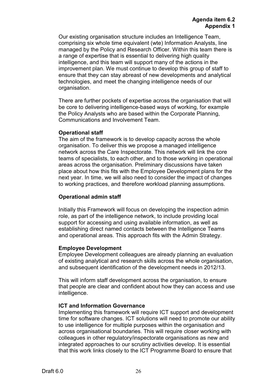Our existing organisation structure includes an Intelligence Team, comprising six whole time equivalent (wte) Information Analysts, line managed by the Policy and Research Officer. Within this team there is a range of expertise that is essential to delivering high quality intelligence, and this team will support many of the actions in the improvement plan. We must continue to develop this group of staff to ensure that they can stay abreast of new developments and analytical technologies, and meet the changing intelligence needs of our organisation.

There are further pockets of expertise across the organisation that will be core to delivering intelligence-based ways of working, for example the Policy Analysts who are based within the Corporate Planning, Communications and Involvement Team.

#### **Operational staff**

The aim of the framework is to develop capacity across the whole organisation. To deliver this we propose a managed intelligence network across the Care Inspectorate. This network will link the core teams of specialists, to each other, and to those working in operational areas across the organisation. Preliminary discussions have taken place about how this fits with the Employee Development plans for the next year. In time, we will also need to consider the impact of changes to working practices, and therefore workload planning assumptions.

#### **Operational admin staff**

Initially this Framework will focus on developing the inspection admin role, as part of the intelligence network, to include providing local support for accessing and using available information, as well as establishing direct named contacts between the Intelligence Teams and operational areas. This approach fits with the Admin Strategy.

#### **Employee Development**

Employee Development colleagues are already planning an evaluation of existing analytical and research skills across the whole organisation, and subsequent identification of the development needs in 2012/13.

This will inform staff development across the organisation, to ensure that people are clear and confident about how they can access and use intelligence.

#### **ICT and Information Governance**

Implementing this framework will require ICT support and development time for software changes. ICT solutions will need to promote our ability to use intelligence for multiple purposes within the organisation and across organisational boundaries. This will require closer working with colleagues in other regulatory/inspectorate organisations as new and integrated approaches to our scrutiny activities develop. It is essential that this work links closely to the ICT Programme Board to ensure that